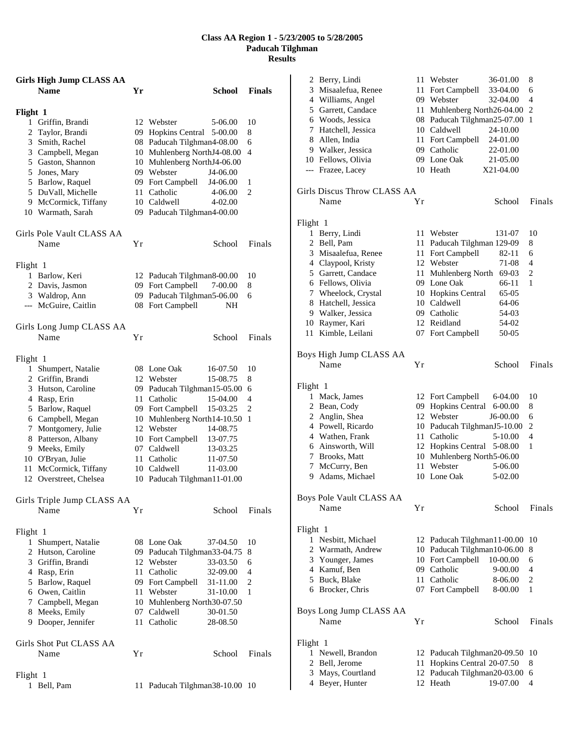## **Class AA Region 1 - 5/23/2005 to 5/28/2005 Paducah Tilghman Results**

| <b>Girls High Jump CLASS AA</b> |    |                                   |                |
|---------------------------------|----|-----------------------------------|----------------|
| <b>Name</b>                     | Yr | <b>School</b>                     | <b>Finals</b>  |
| Flight 1                        |    |                                   |                |
| 1 Griffin, Brandi               | 12 | Webster<br>5-06.00                | 10             |
| 2 Taylor, Brandi                | 09 | <b>Hopkins Central</b><br>5-00.00 | 8              |
| 3 Smith, Rachel                 |    | 08 Paducah Tilghman4-08.00        | 6              |
| 3 Campbell, Megan               |    | 10 Muhlenberg NorthJ4-08.00       | 4              |
| 5 Gaston, Shannon               |    | 10 Muhlenberg NorthJ4-06.00       |                |
| 5 Jones, Mary                   |    | 09 Webster<br>J4-06.00            |                |
| 5 Barlow, Raquel                |    | 09 Fort Campbell<br>J4-06.00      | 1              |
| 5 DuVall, Michelle              | 11 | Catholic<br>4-06.00               | $\overline{c}$ |
| 9 McCormick, Tiffany            |    | 10 Caldwell<br>4-02.00            |                |
| 10 Warmath, Sarah               |    | 09 Paducah Tilghman4-00.00        |                |
| Girls Pole Vault CLASS AA       |    |                                   |                |
| Name                            | Υr | School                            | Finals         |
| Flight 1                        |    |                                   |                |
| 1 Barlow, Keri                  |    | 12 Paducah Tilghman8-00.00        | 10             |
| 2 Davis, Jasmon                 |    | 09 Fort Campbell<br>7-00.00       | 8              |
| 3 Waldrop, Ann                  |    | 09 Paducah Tilghman5-06.00        | 6              |
| --- McGuire, Caitlin            |    | 08 Fort Campbell<br>NΗ            |                |
|                                 |    |                                   |                |
| Girls Long Jump CLASS AA        |    |                                   |                |
| Name                            | Υr | School                            | Finals         |
| Flight 1                        |    |                                   |                |
| 1 Shumpert, Natalie             |    | 08 Lone Oak<br>16-07.50           | 10             |
| 2 Griffin, Brandi               |    | 12 Webster<br>15-08.75            | 8              |
| 3 Hutson, Caroline              |    | 09 Paducah Tilghman15-05.00       | 6              |
| 4 Rasp, Erin                    | 11 | Catholic<br>15-04.00              | 4              |
| 5 Barlow, Raquel                |    | 09 Fort Campbell<br>15-03.25      | 2              |
| 6 Campbell, Megan               |    | 10 Muhlenberg North14-10.50       | 1              |
| 7 Montgomery, Julie             |    | 12 Webster<br>14-08.75            |                |
| 8 Patterson, Albany             |    | 10 Fort Campbell<br>13-07.75      |                |
| 9 Meeks, Emily                  |    | 07 Caldwell<br>13-03.25           |                |
| 10 O'Bryan, Julie               | 11 | Catholic<br>11-07.50              |                |
| 11 McCormick, Tiffany           |    | 10 Caldwell<br>11-03.00           |                |
| 12 Overstreet, Chelsea          | 10 | Paducah Tilghman 11-01.00         |                |
| Girls Triple Jump CLASS AA      |    |                                   |                |
| Name                            | Υr | School                            | Finals         |
| Flight 1                        |    |                                   |                |
| 1 Shumpert, Natalie             |    | 08 Lone Oak<br>37-04.50           | 10             |
| 2 Hutson, Caroline              |    | 09 Paducah Tilghman33-04.75       | 8              |
| 3 Griffin, Brandi               |    | 12 Webster<br>33-03.50            | 6              |
| 4 Rasp, Erin                    |    | 11 Catholic<br>32-09.00           | 4              |
| 5 Barlow, Raquel                |    | 09 Fort Campbell<br>31-11.00      | 2              |
| 6 Owen, Caitlin                 |    | 11 Webster<br>31-10.00            | 1              |
| 7 Campbell, Megan               |    | 10 Muhlenberg North30-07.50       |                |
| 8 Meeks, Emily                  |    | 07 Caldwell<br>30-01.50           |                |
| 9 Dooper, Jennifer              |    | 11 Catholic<br>28-08.50           |                |
|                                 |    |                                   |                |
| Girls Shot Put CLASS AA         |    |                                   |                |
| Name                            | Υr | School                            | Finals         |
| Flight 1                        |    |                                   |                |
| 1 Bell, Pam                     |    | 11 Paducah Tilghman38-10.00 10    |                |

|          | 2 Berry, Lindi                   | 11 | Webster                     | 36-01.00    | 8      |
|----------|----------------------------------|----|-----------------------------|-------------|--------|
| 3        | Misaalefua, Renee                | 11 | Fort Campbell               | 33-04.00    | 6      |
|          | 4 Williams, Angel                |    | 09 Webster                  | 32-04.00    | 4      |
|          | 5 Garrett, Candace               |    | 11 Muhlenberg North26-04.00 |             | 2      |
|          | 6 Woods, Jessica                 |    | 08 Paducah Tilghman25-07.00 |             | 1      |
|          | 7 Hatchell, Jessica              |    | 10 Caldwell                 | 24-10.00    |        |
|          | 8 Allen, India                   | 11 | Fort Campbell               | 24-01.00    |        |
|          | 9 Walker, Jessica                |    | 09 Catholic                 | 22-01.00    |        |
|          | 10 Fellows, Olivia               |    | 09 Lone Oak                 | 21-05.00    |        |
| ---      | Frazee, Lacey                    |    | 10 Heath                    | X21-04.00   |        |
|          |                                  |    |                             |             |        |
|          | Girls Discus Throw CLASS AA      |    |                             |             |        |
|          | Name                             | Υr |                             | School      | Finals |
| Flight 1 |                                  |    |                             |             |        |
| 1        | Berry, Lindi                     |    | 11 Webster                  | 131-07      | 10     |
| 2        | Bell, Pam                        | 11 | Paducah Tilghman 129-09     |             | 8      |
|          | 3 Misaalefua, Renee              |    | 11 Fort Campbell            | 82-11       | 6      |
|          | 4 Claypool, Kristy               |    | 12 Webster                  | 71-08       | 4      |
|          | 5 Garrett, Candace               | 11 | Muhlenberg North            | 69-03       | 2      |
|          | 6 Fellows, Olivia                |    | 09 Lone Oak                 | 66-11       | 1      |
|          | 7 Wheelock, Crystal              |    | 10 Hopkins Central          | 65-05       |        |
| 8        | Hatchell, Jessica                |    | 10 Caldwell                 | 64-06       |        |
|          | 9 Walker, Jessica                |    | 09 Catholic                 | 54-03       |        |
|          | 10 Raymer, Kari                  |    | 12 Reidland                 | 54-02       |        |
| 11       | Kimble, Leilani                  |    | 07 Fort Campbell            | 50-05       |        |
|          |                                  |    |                             |             |        |
|          | Boys High Jump CLASS AA          |    |                             |             |        |
|          | Name                             | Υr |                             | School      | Finals |
|          |                                  |    |                             |             |        |
| Flight 1 |                                  |    |                             |             |        |
| 1        | Mack, James                      |    | 12 Fort Campbell            | 6-04.00     | 10     |
|          | 2 Bean, Cody                     |    | 09 Hopkins Central          | $6 - 00.00$ | 8      |
| 2        | Anglin, Shea                     |    | 12 Webster                  | J6-00.00    | 6      |
|          | 4 Powell, Ricardo                |    | 10 Paducah TilghmanJ5-10.00 |             | 2      |
|          | 4 Wathen, Frank                  | 11 | Catholic                    | 5-10.00     | 4      |
|          | 6 Ainsworth, Will                |    | 12 Hopkins Central          | 5-08.00     | 1      |
| 7        | <b>Brooks, Matt</b>              |    | 10 Muhlenberg North5-06.00  |             |        |
| 7        | McCurry, Ben                     | 11 | Webster                     | 5-06.00     |        |
|          | 9 Adams, Michael                 |    | 10 Lone Oak                 | 5-02.00     |        |
|          |                                  |    |                             |             |        |
|          | Boys Pole Vault CLASS AA<br>Name | Υr |                             | School      | Finals |
|          |                                  |    |                             |             |        |
| Flight 1 |                                  |    |                             |             |        |
|          | 1 Nesbitt, Michael               |    | 12 Paducah Tilghman11-00.00 |             | 10     |
|          | 2 Warmath, Andrew                | 10 | Paducah Tilghman10-06.00    |             | 8      |
|          | 3 Younger, James                 | 10 | Fort Campbell               | 10-00.00    | 6      |
|          | 4 Kamuf, Ben                     | 09 | Catholic                    | 9-00.00     | 4      |
|          | 5 Buck, Blake                    | 11 | Catholic                    | 8-06.00     | 2      |
|          | 6 Brocker, Chris                 | 07 | Fort Campbell               | 8-00.00     | 1      |
|          |                                  |    |                             |             |        |
|          | Boys Long Jump CLASS AA          |    |                             |             |        |
|          | Name                             | Υr |                             | School      | Finals |
| Flight 1 |                                  |    |                             |             |        |
| 1        | Newell, Brandon                  |    | 12 Paducah Tilghman20-09.50 |             | 10     |
| 2        | Bell, Jerome                     | 11 | Hopkins Central 20-07.50    |             | 8      |
| 3        | Mays, Courtland                  | 12 | Paducah Tilghman20-03.00    |             | 6      |
|          | 4 Beyer, Hunter                  |    | 12 Heath                    | 19-07.00    | 4      |
|          |                                  |    |                             |             |        |